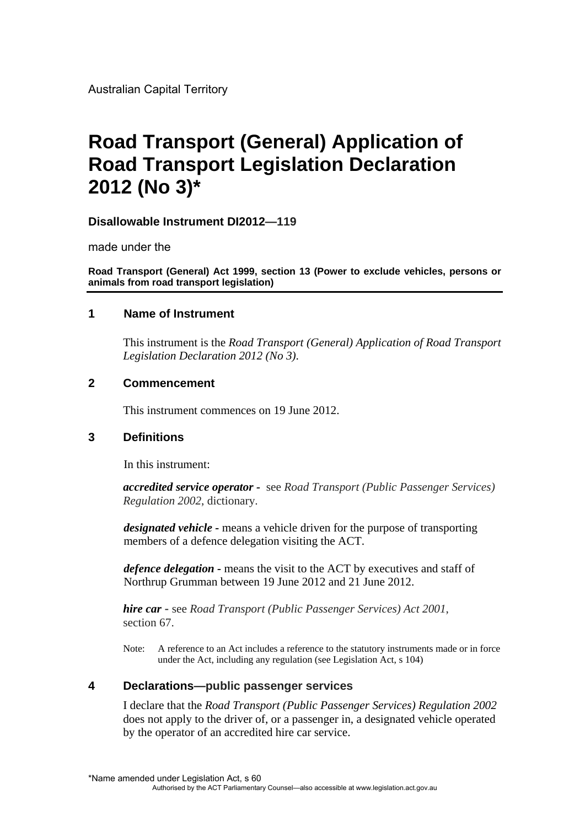# **Road Transport (General) Application of Road Transport Legislation Declaration 2012 (No 3)\***

# **Disallowable Instrument DI2012—119**

made under the

**Road Transport (General) Act 1999, section 13 (Power to exclude vehicles, persons or animals from road transport legislation)** 

# **1 Name of Instrument**

This instrument is the *Road Transport (General) Application of Road Transport Legislation Declaration 2012 (No 3)*.

# **2 Commencement**

This instrument commences on 19 June 2012.

# **3 Definitions**

In this instrument:

*accredited service operator -* see *Road Transport (Public Passenger Services) Regulation 2002*, dictionary.

*designated vehicle -* means a vehicle driven for the purpose of transporting members of a defence delegation visiting the ACT.

*defence delegation -* means the visit to the ACT by executives and staff of Northrup Grumman between 19 June 2012 and 21 June 2012.

*hire car* - see *Road Transport (Public Passenger Services) Act 2001*, section 67.

Note: A reference to an Act includes a reference to the statutory instruments made or in force under the Act, including any regulation (see Legislation Act, s 104)

#### **4 Declarations—public passenger services**

I declare that the *Road Transport (Public Passenger Services) Regulation 2002* does not apply to the driver of, or a passenger in, a designated vehicle operated by the operator of an accredited hire car service.